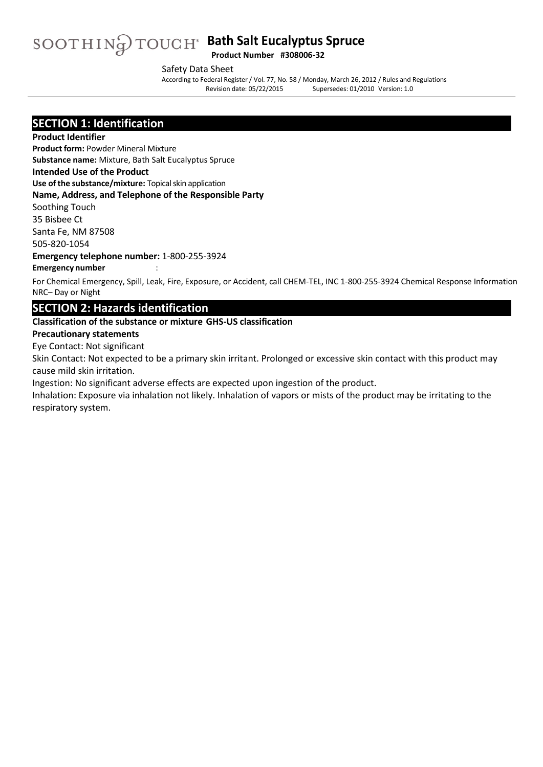# **Bath Salt Eucalyptus Spruce Product Number #308006-32**

Safety Data Sheet

According to Federal Register/ Vol. 77, No. 58 / Monday, March 26, 2012 / Rules and Regulations Supersedes: 01/2010 Version: 1.0

### **SECTION 1: Identification**

#### **Product Identifier**

**Product form:** Powder Mineral Mixture **Substance name:** Mixture, Bath Salt Eucalyptus Spruce

#### **Intended Use of the Product**

**Use of the substance/mixture:** Topical skin application

#### **Name, Address, and Telephone of the Responsible Party**

Soothing Touch

35 Bisbee Ct Santa Fe, NM 87508

505-820-1054

**Emergency telephone number:** 1-800-255-3924

#### **Emergency number** :

For Chemical Emergency, Spill, Leak, Fire, Exposure, or Accident, call CHEM-TEL, INC 1-800-255-3924 Chemical Response Information NRC– Day or Night

### **SECTION 2: Hazards identification**

#### **Classification of the substance or mixture GHS-US classification**

#### **Precautionary statements**

Eye Contact: Not significant

Skin Contact: Not expected to be a primary skin irritant. Prolonged or excessive skin contact with this product may cause mild skin irritation.

Ingestion: No significant adverse effects are expected upon ingestion of the product.

Inhalation: Exposure via inhalation not likely. Inhalation of vapors or mists of the product may be irritating to the respiratory system.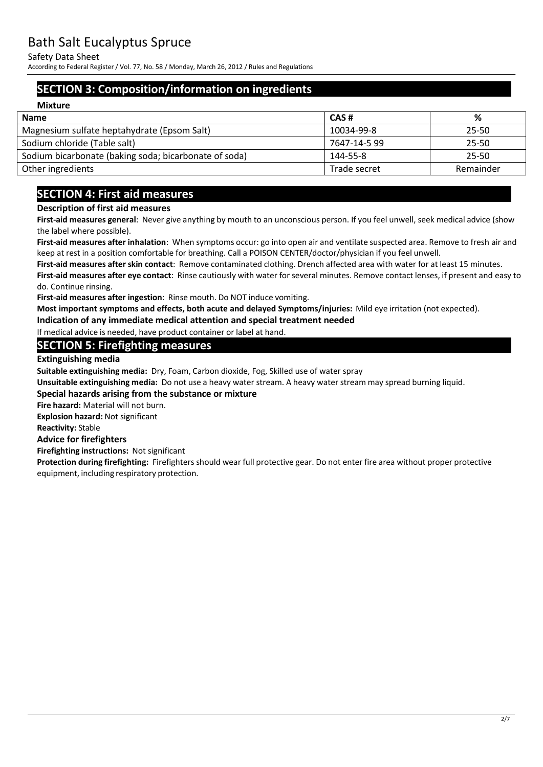Safety Data Sheet

According to Federal Register/ Vol. 77, No. 58 / Monday, March 26, 2012 / Rules and Regulations

# **SECTION 3: Composition/information on ingredients**

| <b>Mixture</b>                                        |              |           |
|-------------------------------------------------------|--------------|-----------|
| <b>Name</b>                                           | CAS#         | %         |
| Magnesium sulfate heptahydrate (Epsom Salt)           | 10034-99-8   | 25-50     |
| Sodium chloride (Table salt)                          | 7647-14-5 99 | 25-50     |
| Sodium bicarbonate (baking soda; bicarbonate of soda) | 144-55-8     | 25-50     |
| Other ingredients                                     | Trade secret | Remainder |

# **SECTION 4: First aid measures**

#### **Description of first aid measures**

**First-aid measures general**: Never give anything by mouth to an unconscious person. If you feel unwell, seek medical advice (show the label where possible).

**First-aid measures after inhalation**: When symptoms occur: go into open air and ventilate suspected area. Remove to fresh air and keep at rest in a position comfortable for breathing. Call a POISON CENTER/doctor/physician if you feel unwell.

**First-aid measures after skin contact**: Remove contaminated clothing. Drench affected area with water for at least 15 minutes. **First-aid measures after eye contact**: Rinse cautiously with water for several minutes. Remove contact lenses, if present and easy to do. Continue rinsing.

**First-aid measures after ingestion**: Rinse mouth. Do NOT induce vomiting.

**Most important symptoms and effects, both acute and delayed Symptoms/injuries:** Mild eye irritation (not expected).

**Indication of any immediate medical attention and special treatment needed** 

If medical advice is needed, have product container or label at hand.

### **SECTION 5: Firefighting measures**

**Extinguishing media**

**Suitable extinguishing media:** Dry, Foam, Carbon dioxide, Fog, Skilled use of water spray

**Unsuitable extinguishing media:** Do not use a heavy water stream. A heavy water stream may spread burning liquid.

#### **Special hazards arising from the substance or mixture**

**Fire hazard:** Material will not burn.

**Explosion hazard:** Not significant

#### **Reactivity:** Stable

#### **Advice for firefighters**

**Firefighting instructions:** Not significant

**Protection during firefighting:** Firefighters should wear full protective gear. Do not enter fire area without proper protective equipment, including respiratory protection.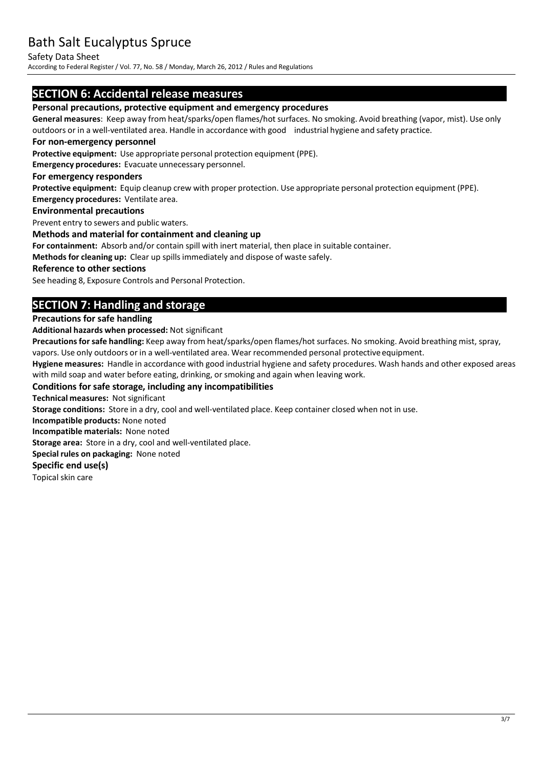Safety Data Sheet

According to Federal Register/ Vol. 77, No. 58 / Monday, March 26, 2012 / Rules and Regulations

### **SECTION 6: Accidental release measures**

#### **Personal precautions, protective equipment and emergency procedures**

**General measures**: Keep away from heat/sparks/open flames/hot surfaces. No smoking. Avoid breathing (vapor, mist). Use only outdoors or in a well-ventilated area. Handle in accordance with good industrial hygiene and safety practice.

#### **For non-emergency personnel**

**Protective equipment:** Use appropriate personal protection equipment (PPE).

**Emergency procedures:** Evacuate unnecessary personnel.

#### **For emergency responders**

**Protective equipment:** Equip cleanup crew with proper protection. Use appropriate personal protection equipment (PPE). **Emergency procedures:** Ventilate area.

#### **Environmental precautions**

Prevent entry to sewers and public waters.

#### **Methods and material for containment and cleaning up**

**For containment:** Absorb and/or contain spill with inert material, then place in suitable container.

**Methods for cleaning up:** Clear up spillsimmediately and dispose of waste safely.

#### **Reference to other sections**

See heading 8, Exposure Controls and Personal Protection.

# **SECTION 7: Handling and storage**

#### **Precautions for safe handling**

**Additional hazards when processed:** Not significant

Precautions for safe handling: Keep away from heat/sparks/open flames/hot surfaces. No smoking. Avoid breathing mist, spray, vapors. Use only outdoors or in a well-ventilated area. Wear recommended personal protective equipment.

**Hygiene measures:** Handle in accordance with good industrial hygiene and safety procedures. Wash hands and other exposed areas with mild soap and water before eating, drinking, or smoking and again when leaving work.

#### **Conditions for safe storage, including any incompatibilities**

**Technical measures:** Not significant

**Storage conditions:** Store in a dry, cool and well-ventilated place. Keep container closed when not in use.

**Incompatible products:** None noted

**Incompatible materials:** None noted

**Storage area:** Store in a dry, cool and well-ventilated place.

**Special rules on packaging:** None noted

#### **Specific end use(s)**

Topical skin care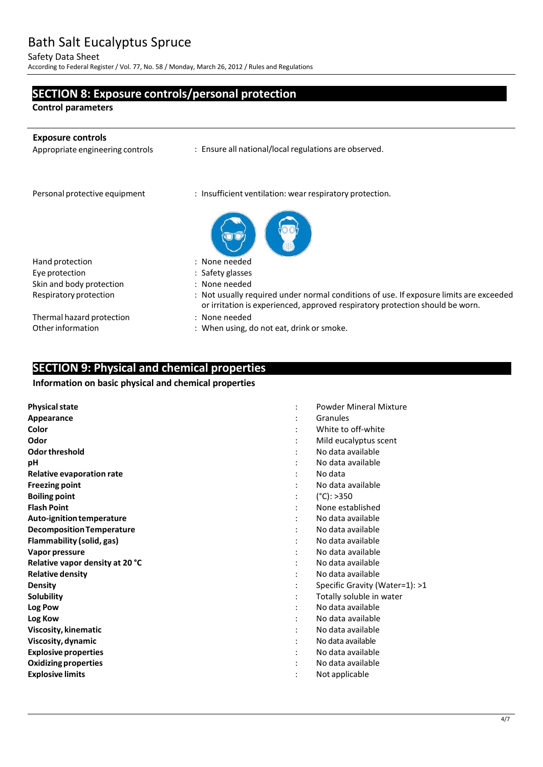Safety Data Sheet

According to Federal Register/ Vol. 77, No. 58 / Monday, March 26, 2012 / Rules and Regulations

# **SECTION 8: Exposure controls/personal protection**

**Control parameters**

j.

| <b>Exposure controls</b><br>Appropriate engineering controls | : Ensure all national/local regulations are observed.                                                                                                                   |
|--------------------------------------------------------------|-------------------------------------------------------------------------------------------------------------------------------------------------------------------------|
| Personal protective equipment                                | : Insufficient ventilation: wear respiratory protection.                                                                                                                |
|                                                              |                                                                                                                                                                         |
| Hand protection                                              | : None needed                                                                                                                                                           |
| Eye protection                                               | : Safety glasses                                                                                                                                                        |
| Skin and body protection                                     | : None needed                                                                                                                                                           |
| Respiratory protection                                       | : Not usually required under normal conditions of use. If exposure limits are exceeded<br>or irritation is experienced, approved respiratory protection should be worn. |
| Thermal hazard protection                                    | : None needed                                                                                                                                                           |
| Other information                                            | : When using, do not eat, drink or smoke.                                                                                                                               |

# **SECTION 9: Physical and chemical properties**

#### **Information on basic physical and chemical properties**

| <b>Physical state</b>            | <b>Powder Mineral Mixture</b>  |
|----------------------------------|--------------------------------|
| Appearance                       | Granules                       |
| Color                            | White to off-white             |
| Odor                             | Mild eucalyptus scent          |
| Odor threshold                   | No data available              |
| рH                               | No data available              |
| Relative evaporation rate        | No data                        |
| <b>Freezing point</b>            | No data available              |
| <b>Boiling point</b>             | $(^{\circ}C):>350$             |
| <b>Flash Point</b>               | None established               |
| Auto-ignition temperature        | No data available              |
| <b>Decomposition Temperature</b> | No data available              |
| Flammability (solid, gas)        | No data available              |
| Vapor pressure                   | No data available              |
| Relative vapor density at 20 °C  | No data available              |
| <b>Relative density</b>          | No data available              |
| <b>Density</b>                   | Specific Gravity (Water=1): >1 |
| Solubility                       | Totally soluble in water       |
| Log Pow                          | No data available              |
| Log Kow                          | No data available              |
| Viscosity, kinematic             | No data available              |
| Viscosity, dynamic               | No data available              |
| <b>Explosive properties</b>      | No data available              |
| <b>Oxidizing properties</b>      | No data available              |
| <b>Explosive limits</b>          | Not applicable                 |
|                                  |                                |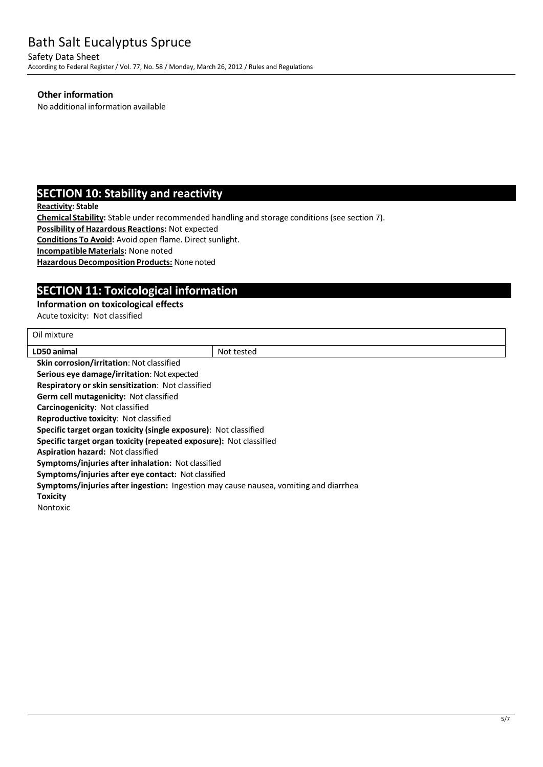Safety Data Sheet According to Federal Register/ Vol. 77, No. 58 / Monday, March 26, 2012 / Rules and Regulations

#### **Other information**

No additional information available

### **SECTION 10: Stability and reactivity**

**Reactivity: Stable**

**Chemical Stability:** Stable under recommended handling and storage conditions(see section 7).

**Possibility of Hazardous Reactions:** Not expected

**Conditions To Avoid:** Avoid open flame. Direct sunlight.

**IncompatibleMaterials:** None noted

**Hazardous Decomposition Products: None noted** 

# **SECTION 11: Toxicological information**

#### **Information on toxicological effects**

Acute toxicity: Not classified

| Oil mixture                                                                          |            |
|--------------------------------------------------------------------------------------|------------|
| LD50 animal                                                                          | Not tested |
| <b>Skin corrosion/irritation: Not classified</b>                                     |            |
| Serious eye damage/irritation: Not expected                                          |            |
| <b>Respiratory or skin sensitization: Not classified</b>                             |            |
| <b>Germ cell mutagenicity: Not classified</b>                                        |            |
| <b>Carcinogenicity: Not classified</b>                                               |            |
| <b>Reproductive toxicity: Not classified</b>                                         |            |
| Specific target organ toxicity (single exposure): Not classified                     |            |
| Specific target organ toxicity (repeated exposure): Not classified                   |            |
| <b>Aspiration hazard: Not classified</b>                                             |            |
| Symptoms/injuries after inhalation: Not classified                                   |            |
| Symptoms/injuries after eye contact: Not classified                                  |            |
| Symptoms/injuries after ingestion: Ingestion may cause nausea, vomiting and diarrhea |            |
| Toxicity                                                                             |            |
| Nontoxic                                                                             |            |
|                                                                                      |            |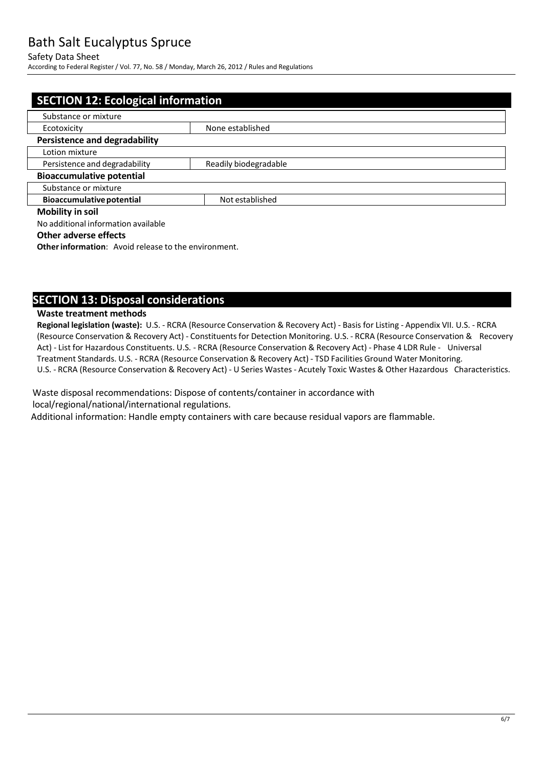#### Safety Data Sheet

According to Federal Register/ Vol. 77, No. 58 / Monday, March 26, 2012 / Rules and Regulations

| <b>SECTION 12: Ecological information</b>              |                 |  |  |
|--------------------------------------------------------|-----------------|--|--|
|                                                        |                 |  |  |
| Substance or mixture                                   |                 |  |  |
| None established<br>Ecotoxicity                        |                 |  |  |
| <b>Persistence and degradability</b>                   |                 |  |  |
| Lotion mixture                                         |                 |  |  |
| Persistence and degradability<br>Readily biodegradable |                 |  |  |
| <b>Bioaccumulative potential</b>                       |                 |  |  |
| Substance or mixture                                   |                 |  |  |
| <b>Bioaccumulative potential</b>                       | Not established |  |  |
| <b>Mobility in soil</b>                                |                 |  |  |
| No additional information available                    |                 |  |  |

#### **Other adverse effects**

**Other information:** Avoid release to the environment.

### **SECTION 13: Disposal considerations**

#### **Waste treatment methods**

**Regional legislation (waste):** U.S. - RCRA (Resource Conservation & Recovery Act) - Basis for Listing - Appendix VII. U.S. - RCRA (Resource Conservation & Recovery Act) - Constituentsfor Detection Monitoring. U.S. - RCRA (Resource Conservation & Recovery Act) - List for Hazardous Constituents. U.S. - RCRA (Resource Conservation & Recovery Act) - Phase 4 LDR Rule - Universal Treatment Standards. U.S. - RCRA (Resource Conservation & Recovery Act) - TSD Facilities Ground Water Monitoring. U.S. - RCRA (Resource Conservation & Recovery Act) - U Series Wastes - Acutely Toxic Wastes & Other Hazardous Characteristics.

Waste disposal recommendations: Dispose of contents/container in accordance with local/regional/national/international regulations.

Additional information: Handle empty containers with care because residual vapors are flammable.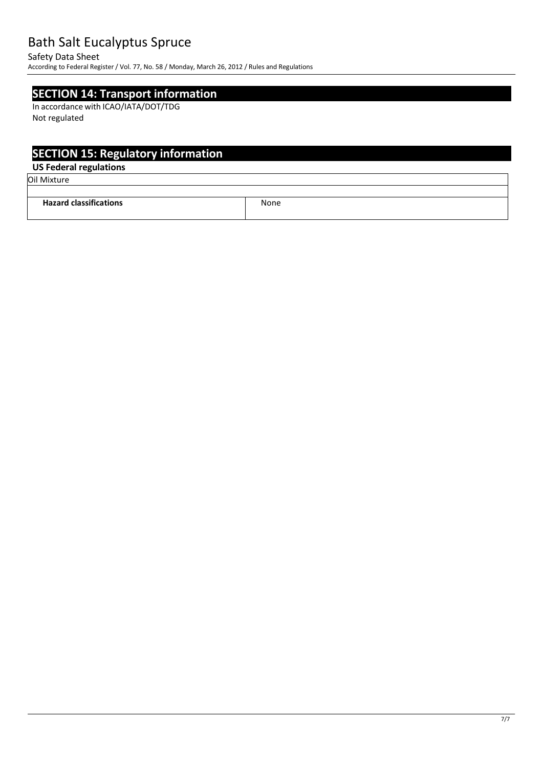#### Safety Data Sheet

According to Federal Register/ Vol. 77, No. 58 / Monday, March 26, 2012 / Rules and Regulations

### **SECTION 14: Transport information**

In accordance with ICAO/IATA/DOT/TDG Not regulated

# **SECTION 15: Regulatory information**

### **US Federal regulations**

Oil Mixture

| .<br>Hazard<br>classifications<br>-с а<br>. | None |
|---------------------------------------------|------|
|                                             |      |